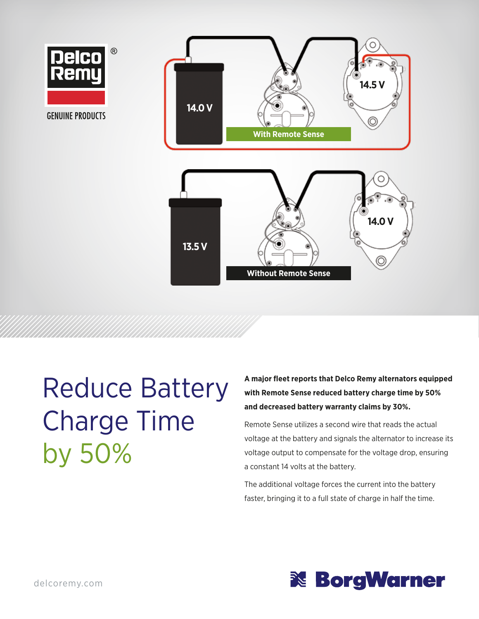

# Reduce Battery Charge Time by 50%

#### **A major fleet reports that Delco Remy alternators equipped with Remote Sense reduced battery charge time by 50% and decreased battery warranty claims by 30%.**

Remote Sense utilizes a second wire that reads the actual voltage at the battery and signals the alternator to increase its voltage output to compensate for the voltage drop, ensuring a constant 14 volts at the battery.

The additional voltage forces the current into the battery faster, bringing it to a full state of charge in half the time.